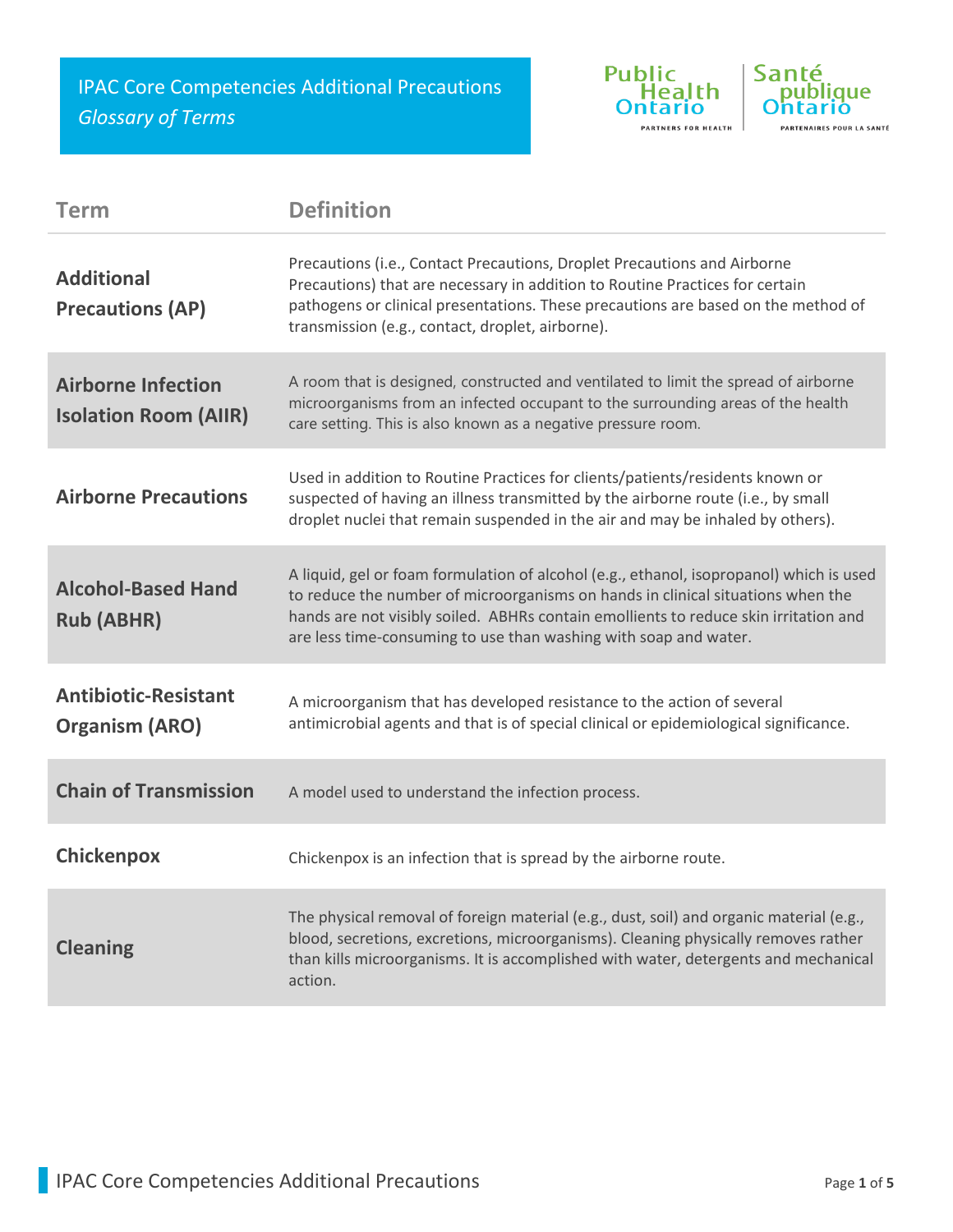IPAC Core Competencies Additional Precautions *Glossary of Terms*





| Term                                                      | <b>Definition</b>                                                                                                                                                                                                                                                                                                                      |
|-----------------------------------------------------------|----------------------------------------------------------------------------------------------------------------------------------------------------------------------------------------------------------------------------------------------------------------------------------------------------------------------------------------|
| <b>Additional</b><br><b>Precautions (AP)</b>              | Precautions (i.e., Contact Precautions, Droplet Precautions and Airborne<br>Precautions) that are necessary in addition to Routine Practices for certain<br>pathogens or clinical presentations. These precautions are based on the method of<br>transmission (e.g., contact, droplet, airborne).                                      |
| <b>Airborne Infection</b><br><b>Isolation Room (AIIR)</b> | A room that is designed, constructed and ventilated to limit the spread of airborne<br>microorganisms from an infected occupant to the surrounding areas of the health<br>care setting. This is also known as a negative pressure room.                                                                                                |
| <b>Airborne Precautions</b>                               | Used in addition to Routine Practices for clients/patients/residents known or<br>suspected of having an illness transmitted by the airborne route (i.e., by small<br>droplet nuclei that remain suspended in the air and may be inhaled by others).                                                                                    |
| <b>Alcohol-Based Hand</b><br><b>Rub (ABHR)</b>            | A liquid, gel or foam formulation of alcohol (e.g., ethanol, isopropanol) which is used<br>to reduce the number of microorganisms on hands in clinical situations when the<br>hands are not visibly soiled. ABHRs contain emollients to reduce skin irritation and<br>are less time-consuming to use than washing with soap and water. |
| <b>Antibiotic-Resistant</b><br><b>Organism (ARO)</b>      | A microorganism that has developed resistance to the action of several<br>antimicrobial agents and that is of special clinical or epidemiological significance.                                                                                                                                                                        |
| <b>Chain of Transmission</b>                              | A model used to understand the infection process.                                                                                                                                                                                                                                                                                      |
| <b>Chickenpox</b>                                         | Chickenpox is an infection that is spread by the airborne route.                                                                                                                                                                                                                                                                       |
| <b>Cleaning</b>                                           | The physical removal of foreign material (e.g., dust, soil) and organic material (e.g.,<br>blood, secretions, excretions, microorganisms). Cleaning physically removes rather<br>than kills microorganisms. It is accomplished with water, detergents and mechanical<br>action.                                                        |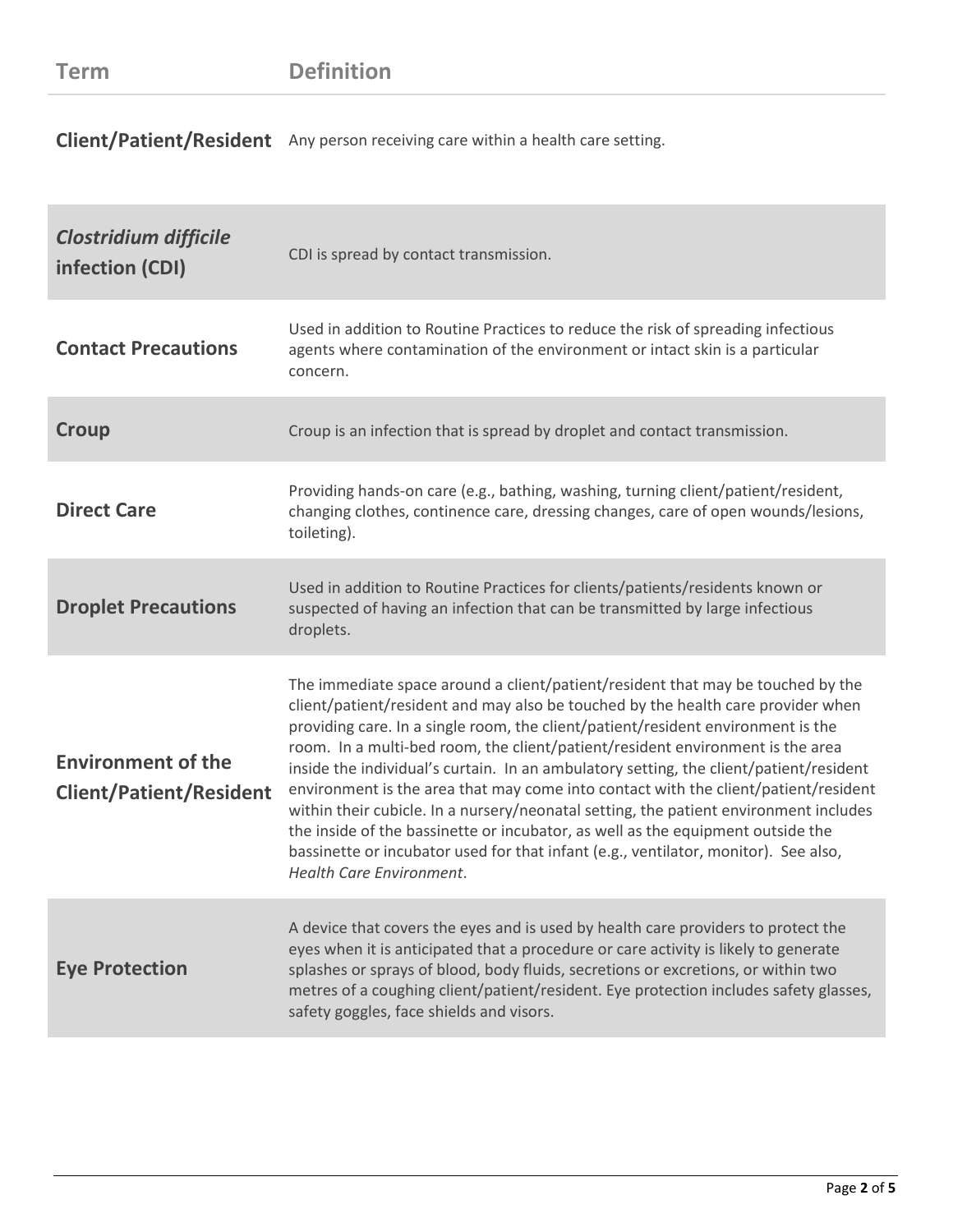**Client/Patient/Resident** Any person receiving care within a health care setting.

| <b>Clostridium difficile</b><br>infection (CDI)             | CDI is spread by contact transmission.                                                                                                                                                                                                                                                                                                                                                                                                                                                                                                                                                                                                                                                                                                                                                                                           |
|-------------------------------------------------------------|----------------------------------------------------------------------------------------------------------------------------------------------------------------------------------------------------------------------------------------------------------------------------------------------------------------------------------------------------------------------------------------------------------------------------------------------------------------------------------------------------------------------------------------------------------------------------------------------------------------------------------------------------------------------------------------------------------------------------------------------------------------------------------------------------------------------------------|
| <b>Contact Precautions</b>                                  | Used in addition to Routine Practices to reduce the risk of spreading infectious<br>agents where contamination of the environment or intact skin is a particular<br>concern.                                                                                                                                                                                                                                                                                                                                                                                                                                                                                                                                                                                                                                                     |
| Croup                                                       | Croup is an infection that is spread by droplet and contact transmission.                                                                                                                                                                                                                                                                                                                                                                                                                                                                                                                                                                                                                                                                                                                                                        |
| <b>Direct Care</b>                                          | Providing hands-on care (e.g., bathing, washing, turning client/patient/resident,<br>changing clothes, continence care, dressing changes, care of open wounds/lesions,<br>toileting).                                                                                                                                                                                                                                                                                                                                                                                                                                                                                                                                                                                                                                            |
| <b>Droplet Precautions</b>                                  | Used in addition to Routine Practices for clients/patients/residents known or<br>suspected of having an infection that can be transmitted by large infectious<br>droplets.                                                                                                                                                                                                                                                                                                                                                                                                                                                                                                                                                                                                                                                       |
| <b>Environment of the</b><br><b>Client/Patient/Resident</b> | The immediate space around a client/patient/resident that may be touched by the<br>client/patient/resident and may also be touched by the health care provider when<br>providing care. In a single room, the client/patient/resident environment is the<br>room. In a multi-bed room, the client/patient/resident environment is the area<br>inside the individual's curtain. In an ambulatory setting, the client/patient/resident<br>environment is the area that may come into contact with the client/patient/resident<br>within their cubicle. In a nursery/neonatal setting, the patient environment includes<br>the inside of the bassinette or incubator, as well as the equipment outside the<br>bassinette or incubator used for that infant (e.g., ventilator, monitor). See also,<br><b>Health Care Environment.</b> |
| <b>Eye Protection</b>                                       | A device that covers the eyes and is used by health care providers to protect the<br>eyes when it is anticipated that a procedure or care activity is likely to generate<br>splashes or sprays of blood, body fluids, secretions or excretions, or within two<br>metres of a coughing client/patient/resident. Eye protection includes safety glasses,<br>safety goggles, face shields and visors.                                                                                                                                                                                                                                                                                                                                                                                                                               |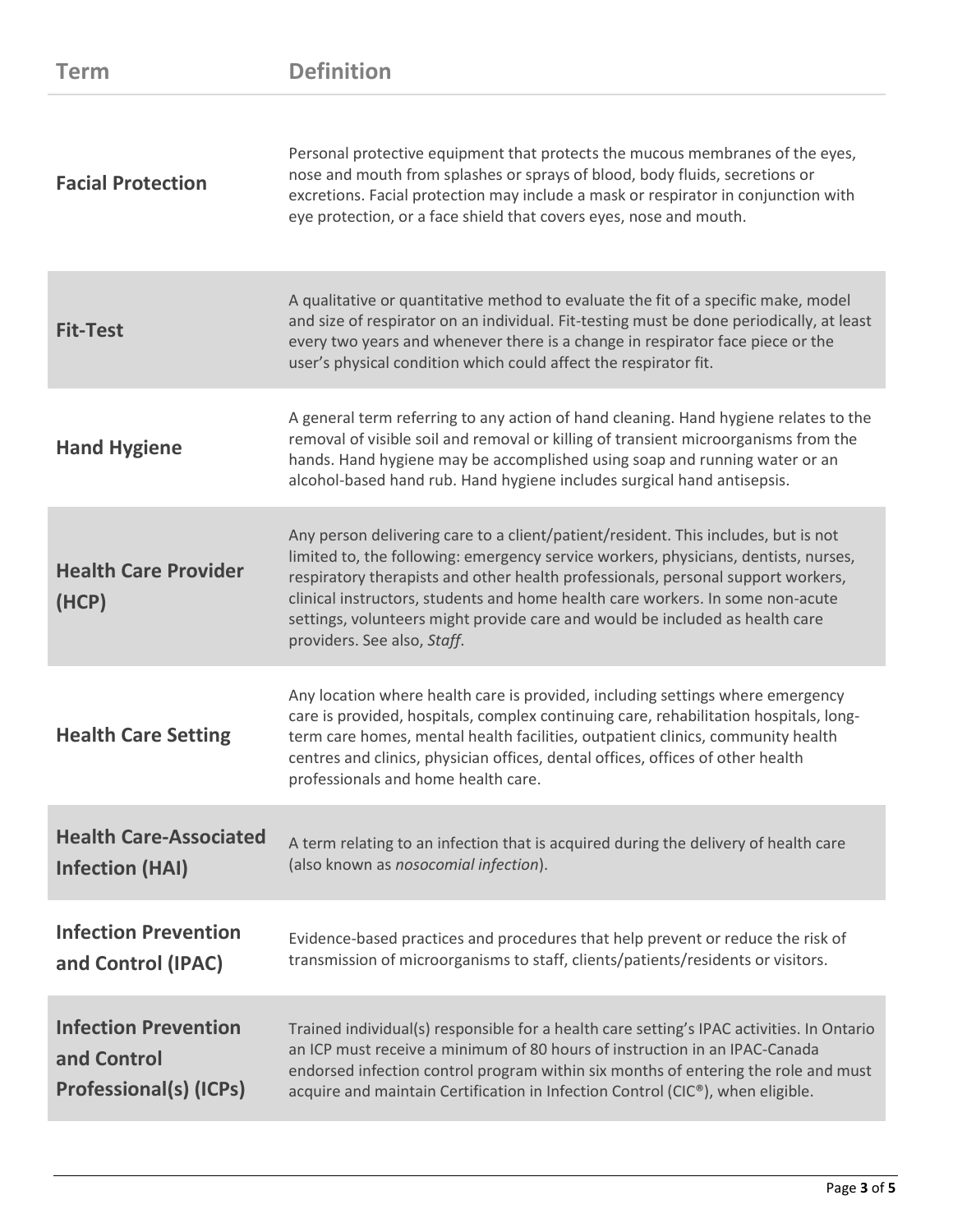| <b>Term</b>                                                          | <b>Definition</b>                                                                                                                                                                                                                                                                                                                                                                                                                                              |
|----------------------------------------------------------------------|----------------------------------------------------------------------------------------------------------------------------------------------------------------------------------------------------------------------------------------------------------------------------------------------------------------------------------------------------------------------------------------------------------------------------------------------------------------|
| <b>Facial Protection</b>                                             | Personal protective equipment that protects the mucous membranes of the eyes,<br>nose and mouth from splashes or sprays of blood, body fluids, secretions or<br>excretions. Facial protection may include a mask or respirator in conjunction with<br>eye protection, or a face shield that covers eyes, nose and mouth.                                                                                                                                       |
| <b>Fit-Test</b>                                                      | A qualitative or quantitative method to evaluate the fit of a specific make, model<br>and size of respirator on an individual. Fit-testing must be done periodically, at least<br>every two years and whenever there is a change in respirator face piece or the<br>user's physical condition which could affect the respirator fit.                                                                                                                           |
| <b>Hand Hygiene</b>                                                  | A general term referring to any action of hand cleaning. Hand hygiene relates to the<br>removal of visible soil and removal or killing of transient microorganisms from the<br>hands. Hand hygiene may be accomplished using soap and running water or an<br>alcohol-based hand rub. Hand hygiene includes surgical hand antisepsis.                                                                                                                           |
| <b>Health Care Provider</b><br>(HCP)                                 | Any person delivering care to a client/patient/resident. This includes, but is not<br>limited to, the following: emergency service workers, physicians, dentists, nurses,<br>respiratory therapists and other health professionals, personal support workers,<br>clinical instructors, students and home health care workers. In some non-acute<br>settings, volunteers might provide care and would be included as health care<br>providers. See also, Staff. |
| <b>Health Care Setting</b>                                           | Any location where health care is provided, including settings where emergency<br>care is provided, hospitals, complex continuing care, rehabilitation hospitals, long-<br>term care homes, mental health facilities, outpatient clinics, community health<br>centres and clinics, physician offices, dental offices, offices of other health<br>professionals and home health care.                                                                           |
| <b>Health Care-Associated</b><br><b>Infection (HAI)</b>              | A term relating to an infection that is acquired during the delivery of health care<br>(also known as nosocomial infection).                                                                                                                                                                                                                                                                                                                                   |
| <b>Infection Prevention</b><br>and Control (IPAC)                    | Evidence-based practices and procedures that help prevent or reduce the risk of<br>transmission of microorganisms to staff, clients/patients/residents or visitors.                                                                                                                                                                                                                                                                                            |
| <b>Infection Prevention</b><br>and Control<br>Professional(s) (ICPs) | Trained individual(s) responsible for a health care setting's IPAC activities. In Ontario<br>an ICP must receive a minimum of 80 hours of instruction in an IPAC-Canada<br>endorsed infection control program within six months of entering the role and must<br>acquire and maintain Certification in Infection Control (CIC®), when eligible.                                                                                                                |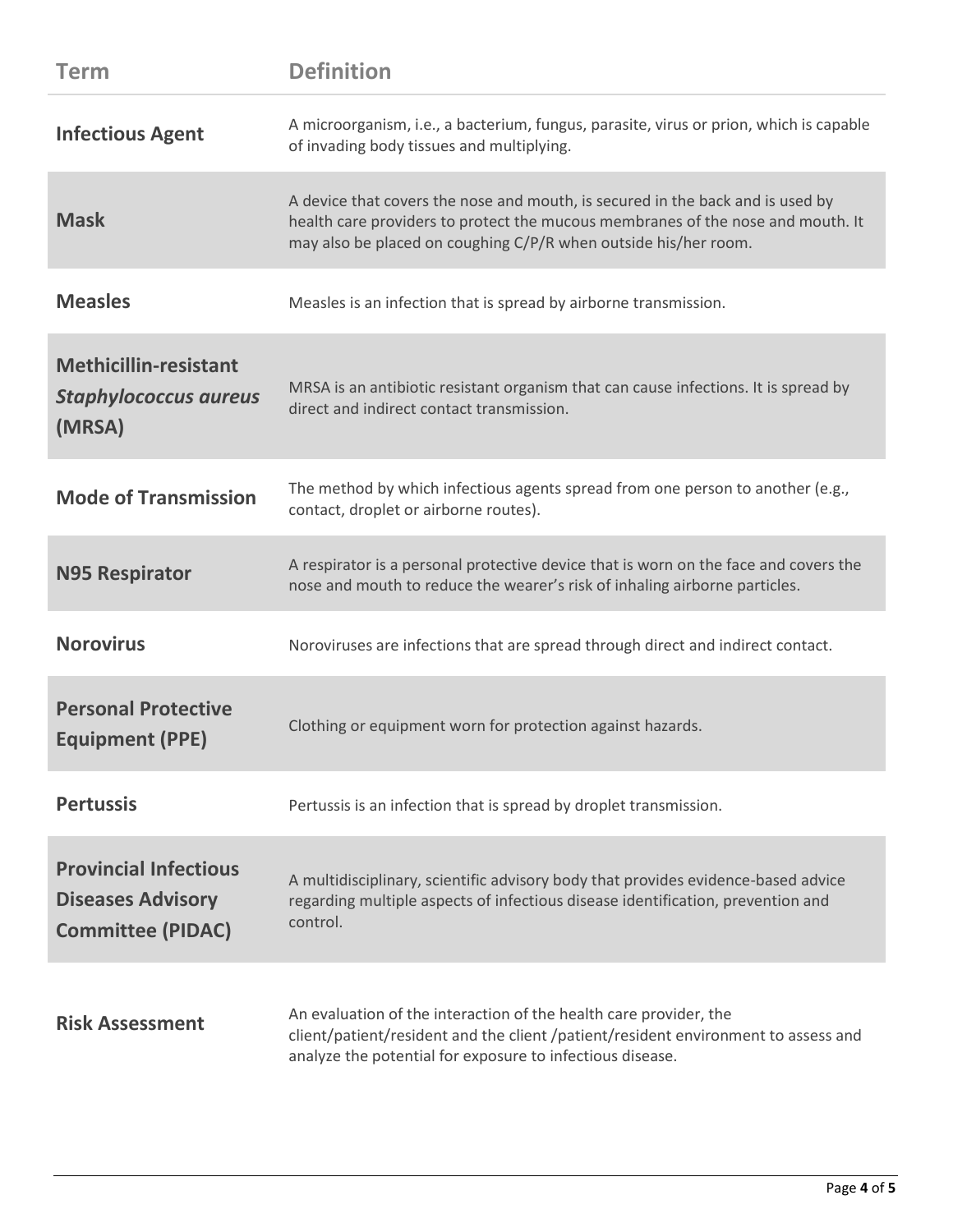| <b>Term</b>                                                                          | <b>Definition</b>                                                                                                                                                                                                                    |
|--------------------------------------------------------------------------------------|--------------------------------------------------------------------------------------------------------------------------------------------------------------------------------------------------------------------------------------|
| <b>Infectious Agent</b>                                                              | A microorganism, i.e., a bacterium, fungus, parasite, virus or prion, which is capable<br>of invading body tissues and multiplying.                                                                                                  |
| <b>Mask</b>                                                                          | A device that covers the nose and mouth, is secured in the back and is used by<br>health care providers to protect the mucous membranes of the nose and mouth. It<br>may also be placed on coughing C/P/R when outside his/her room. |
| <b>Measles</b>                                                                       | Measles is an infection that is spread by airborne transmission.                                                                                                                                                                     |
| <b>Methicillin-resistant</b><br><b>Staphylococcus aureus</b><br>(MRSA)               | MRSA is an antibiotic resistant organism that can cause infections. It is spread by<br>direct and indirect contact transmission.                                                                                                     |
| <b>Mode of Transmission</b>                                                          | The method by which infectious agents spread from one person to another (e.g.,<br>contact, droplet or airborne routes).                                                                                                              |
| <b>N95 Respirator</b>                                                                | A respirator is a personal protective device that is worn on the face and covers the<br>nose and mouth to reduce the wearer's risk of inhaling airborne particles.                                                                   |
| <b>Norovirus</b>                                                                     | Noroviruses are infections that are spread through direct and indirect contact.                                                                                                                                                      |
| <b>Personal Protective</b><br><b>Equipment (PPE)</b>                                 | Clothing or equipment worn for protection against hazards.                                                                                                                                                                           |
| <b>Pertussis</b>                                                                     | Pertussis is an infection that is spread by droplet transmission.                                                                                                                                                                    |
| <b>Provincial Infectious</b><br><b>Diseases Advisory</b><br><b>Committee (PIDAC)</b> | A multidisciplinary, scientific advisory body that provides evidence-based advice<br>regarding multiple aspects of infectious disease identification, prevention and<br>control.                                                     |
| <b>Risk Assessment</b>                                                               | An evaluation of the interaction of the health care provider, the<br>client/patient/resident and the client/patient/resident environment to assess and<br>analyze the potential for exposure to infectious disease.                  |